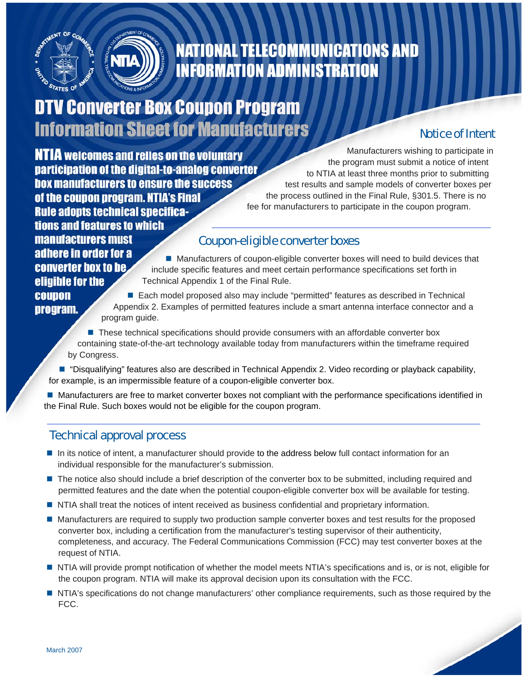



## **NATIONAL TELECOMMUNICATIONS AND INFORMATION ADMINISTRATION**

## **DTV Converter Box Coupon Program Information Sheet for Manufacturers**

## Notice of Intent

to NTIA at least three months prior to submitting

**NTIA welcomes and relies on the voluntary and the contracturers** wishing to participate in **The program must submit a notice of intent**<br>**Darticipation of the digital-to-analog converter hox manufacturers to ensure the success** test results and sample models of converter boxes per of the coupon program. NTIA's Final the process outlined in the Final Rule, §301.5. There is no **Rule adopts technical specifica-** fee for manufacturers to participate in the coupon program. **tions and features to which manufacturers must** 

## Coupon-eligible converter boxes

**adhere in order for a**<br> **Manufacturers of coupon-eligible converter boxes will need to build devices that**<br> **CONVETTEF DOX to be**<br> **CONVETTEF DOX to be**<br> **CONVETTEF DOX to be**<br> **CONVETTEF DOX to be**  include specific features and meet certain performance specifications set forth in **eligible for the Electronical Appendix 1 of the Final Rule.** 

 Each model proposed also may include "permitted" features as described in Technical **program.** Appendix 2. Examples of permitted features include a smart antenna interface connector and a program guide.

**T** These technical specifications should provide consumers with an affordable converter box containing state-of-the-art technology available today from manufacturers within the timeframe required by Congress.

 "Disqualifying" features also are described in Technical Appendix 2. Video recording or playback capability, for example, is an impermissible feature of a coupon-eligible converter box.

 Manufacturers are free to market converter boxes not compliant with the performance specifications identified in the Final Rule. Such boxes would not be eligible for the coupon program.

## Technical approval process

- In its notice of intent, a manufacturer should provide to the address below full contact information for an individual responsible for the manufacturer's submission.
- The notice also should include a brief description of the converter box to be submitted, including required and permitted features and the date when the potential coupon-eligible converter box will be available for testing.
- NTIA shall treat the notices of intent received as business confidential and proprietary information.
- Manufacturers are required to supply two production sample converter boxes and test results for the proposed converter box, including a certification from the manufacturer's testing supervisor of their authenticity, completeness, and accuracy. The Federal Communications Commission (FCC) may test converter boxes at the request of NTIA.
- NTIA will provide prompt notification of whether the model meets NTIA's specifications and is, or is not, eligible for the coupon program. NTIA will make its approval decision upon its consultation with the FCC.
- **NTIA's specifications do not change manufacturers' other compliance requirements, such as those required by the** FCC.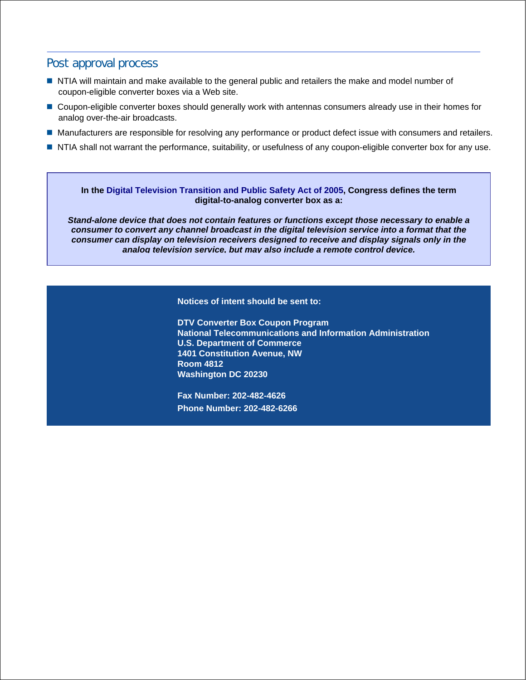### Post approval process

- **NTIA** will maintain and make available to the general public and retailers the make and model number of coupon-eligible converter boxes via a Web site.
- Coupon-eligible converter boxes should generally work with antennas consumers already use in their homes for analog over-the-air broadcasts.
- **Manufacturers are responsible for resolving any performance or product defect issue with consumers and retailers.**
- **NTIA shall not warrant the performance, suitability, or usefulness of any coupon-eligible converter box for any use.**

**In the Digital Television Transition and Public Safety Act of 2005, Congress defines the term digital-to-analog converter box as a:** 

*Stand-alone device that does not contain features or functions except those necessary to enable a consumer to convert any channel broadcast in the digital television service into a format that the consumer can display on television receivers designed to receive and display signals only in the analog television service, but may also include a remote control device.*

#### **Notices of intent should be sent to:**

**DTV Converter Box Coupon Program National Telecommunications and Information Administration U.S. Department of Commerce 1401 Constitution Avenue, NW Room 4812 Washington DC 20230** 

**Fax Number: 202-482-4626 Phone Number: 202-482-6266**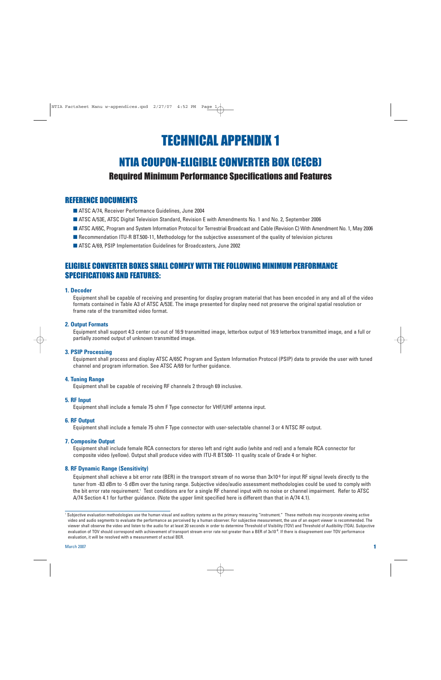## TECHNICAL APPENDIX 1

## NTIA COUPON-ELIGIBLE CONVERTER BOX (CECB) Required Minimum Performance Specifications and Features

## REFERENCE DOCUMENTS

- ATSC A/74, Receiver Performance Guidelines, June 2004
- ATSC A/53E, ATSC Digital Television Standard, Revision E with Amendments No. 1 and No. 2, September 2006
- ATSC A/65C, Program and System Information Protocol for Terrestrial Broadcast and Cable (Revision C) With Amendment No. 1, May 2006
- Recommendation ITU-R BT.500-11, Methodology for the subjective assessment of the quality of television pictures
- ATSC A/69, PSIP Implementation Guidelines for Broadcasters, June 2002

## ELIGIBLE CONVERTER BOXES SHALL COMPLY WITH THE FOLLOWING MINIMUM PERFORMANCE SPECIFICATIONS AND FEATURES:

#### **1. Decoder**

Equipment shall be capable of receiving and presenting for display program material that has been encoded in any and all of the video formats contained in Table A3 of ATSC A/53E. The image presented for display need not preserve the original spatial resolution or frame rate of the transmitted video format.

#### **2. Output Formats**

Equipment shall support 4:3 center cut-out of 16:9 transmitted image, letterbox output of 16:9 letterbox transmitted image, and a full or partially zoomed output of unknown transmitted image.

### **3. PSIP Processing**

Equipment shall process and display ATSC A/65C Program and System Information Protocol (PSIP) data to provide the user with tuned channel and program information. See ATSC A/69 for further guidance.

### **4. Tuning Range**

Equipment shall be capable of receiving RF channels 2 through 69 inclusive.

#### **5. RF Input**

Equipment shall include a female 75 ohm F Type connector for VHF/UHF antenna input.

#### **6. RF Output**

Equipment shall include a female 75 ohm F Type connector with user-selectable channel 3 or 4 NTSC RF output.

### **7. Composite Output**

Equipment shall include female RCA connectors for stereo left and right audio (white and red) and a female RCA connector for composite video (yellow). Output shall produce video with ITU-R BT.500- 11 quality scale of Grade 4 or higher.

### **8. RF Dynamic Range (Sensitivity)**

Equipment shall achieve a bit error rate (BER) in the transport stream of no worse than  $3x10^{-6}$  for input RF signal levels directly to the tuner from -83 dBm to -5 dBm over the tuning range. Subjective video/audio assessment methodologies could be used to comply with the bit error rate requirement.1 Test conditions are for a single RF channel input with no noise or channel impairment. Refer to ATSC A/74 Section 4.1 for further guidance. (Note the upper limit specified here is different than that in A/74 4.1).

<sup>1</sup> Subjective evaluation methodologies use the human visual and auditory systems as the primary measuring "instrument." These methods may incorporate viewing active video and audio segments to evaluate the performance as perceived by a human observer. For subjective measurement, the use of an expert viewer is recommended. The viewer shall observe the video and listen to the audio for at least 20 seconds in order to determine Threshold of Visibility (TOV) and Threshold of Audibility (TOA). Subjective evaluation of TOV should correspond with achievement of transport stream error rate not greater than a BER of 3x10<sup>-6</sup>. If there is disagreement over TOV performance evaluation, it will be resolved with a measurement of actual BER.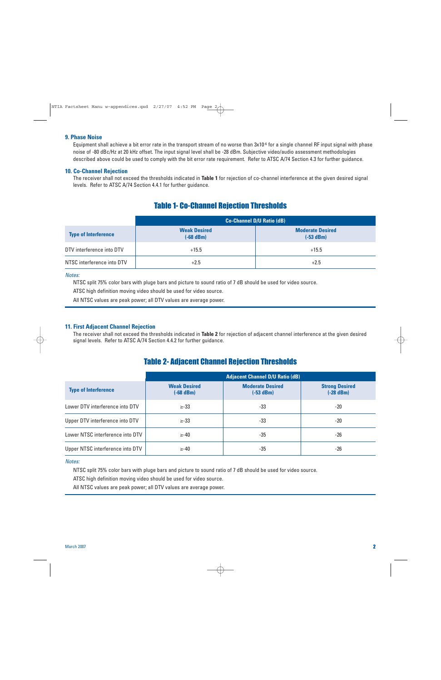#### **9. Phase Noise**

Equipment shall achieve a bit error rate in the transport stream of no worse than 3x10<sup>-6</sup> for a single channel RF input signal with phase noise of -80 dBc/Hz at 20 kHz offset. The input signal level shall be -28 dBm. Subjective video/audio assessment methodologies described above could be used to comply with the bit error rate requirement. Refer to ATSC A/74 Section 4.3 for further guidance.

#### **10. Co-Channel Rejection**

The receiver shall not exceed the thresholds indicated in **Table 1** for rejection of co-channel interference at the given desired signal levels. Refer to ATSC A/74 Section 4.4.1 for further guidance.

## Table 1- Co-Channel Rejection Thresholds

|                             | <b>Co-Channel D/U Ratio (dB)</b>   |                                        |  |
|-----------------------------|------------------------------------|----------------------------------------|--|
| <b>Type of Interference</b> | <b>Weak Desired</b><br>$(-68$ dBm) | <b>Moderate Desired</b><br>$(-53 dBm)$ |  |
| DTV interference into DTV   | $+15.5$                            | $+15.5$                                |  |
| NTSC interference into DTV  | $+2.5$                             | $+2.5$                                 |  |

#### Notes:

NTSC split 75% color bars with pluge bars and picture to sound ratio of 7 dB should be used for video source.

ATSC high definition moving video should be used for video source.

All NTSC values are peak power; all DTV values are average power.

#### **11. First Adjacent Channel Rejection**

The receiver shall not exceed the thresholds indicated in **Table 2** for rejection of adjacent channel interference at the given desired signal levels. Refer to ATSC A/74 Section 4.4.2 for further guidance.

## Table 2- Adjacent Channel Rejection Thresholds

|                                  | <b>Adjacent Channel D/U Ratio (dB)</b> |                                        |                                      |
|----------------------------------|----------------------------------------|----------------------------------------|--------------------------------------|
| <b>Type of Interference</b>      | <b>Weak Desired</b><br>$(-68$ dBm $)$  | <b>Moderate Desired</b><br>$(-53 dBm)$ | <b>Strong Desired</b><br>$(-28 dBm)$ |
| Lower DTV interference into DTV  | $\ge -33$                              | -33                                    | $-20$                                |
| Upper DTV interference into DTV  | $\ge -33$                              | -33                                    | $-20$                                |
| Lower NTSC interference into DTV | $\geq -40$                             | -35                                    | $-26$                                |
| Upper NTSC interference into DTV | $\geq -40$                             | -35                                    | $-26$                                |

#### Notes:

NTSC split 75% color bars with pluge bars and picture to sound ratio of 7 dB should be used for video source.

ATSC high definition moving video should be used for video source.

All NTSC values are peak power; all DTV values are average power.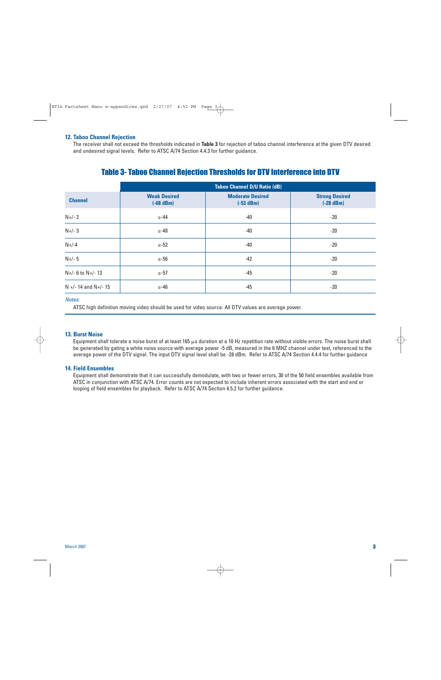#### **12. Taboo Channel Rejection**

The receiver shall not exceed the thresholds indicated in **Table 3** for rejection of taboo channel interference at the given DTV desired and undesired signal levels. Refer to ATSC A/74 Section 4.4.3 for further guidance.

## Table 3- Taboo Channel Rejection Thresholds for DTV Interference into DTV

|                         | <b>Taboo Channel D/U Ratio (dB)</b> |                                        |                                      |
|-------------------------|-------------------------------------|----------------------------------------|--------------------------------------|
| <b>Channel</b>          | <b>Weak Desired</b><br>$(-68 dBm)$  | <b>Moderate Desired</b><br>$(-53 dBm)$ | <b>Strong Desired</b><br>$(-28 dBm)$ |
| $N+/- 2$                | $\ge -44$                           | $-40$                                  | $-20$                                |
| $N+/-3$                 | $\ge -48$                           | $-40$                                  | $-20$                                |
| $N+/-4$                 | $\ge -52$                           | $-40$                                  | $-20$                                |
| $N+/- 5$                | $\ge -56$                           | $-42$                                  | $-20$                                |
| $N+/$ - 6 to $N+/$ - 13 | $\ge -57$                           | $-45$                                  | $-20$                                |
| N +/- 14 and N+/- 15    | $\geq -46$                          | $-45$                                  | $-20$                                |

#### Notes:

ATSC high definition moving video should be used for video source. All DTV values are average power.

#### **13. Burst Noise**

Equipment shall tolerate a noise burst of at least 165  $\mu$ s duration at a 10 Hz repetition rate without visible errors. The noise burst shall be generated by gating a white noise source with average power -5 dB, measured in the 6 MHZ channel under test, referenced to the average power of the DTV signal. The input DTV signal level shall be -28 dBm. Refer to ATSC A/74 Section 4.4.4 for further guidance

#### **14. Field Ensembles**

Equipment shall demonstrate that it can successfully demodulate, with two or fewer errors, 30 of the 50 field ensembles available from ATSC in conjunction with ATSC A/74. Error counts are not expected to include inherent errors associated with the start and end or looping of field ensembles for playback. Refer to ATSC A/74 Section 4.5.2 for further guidance.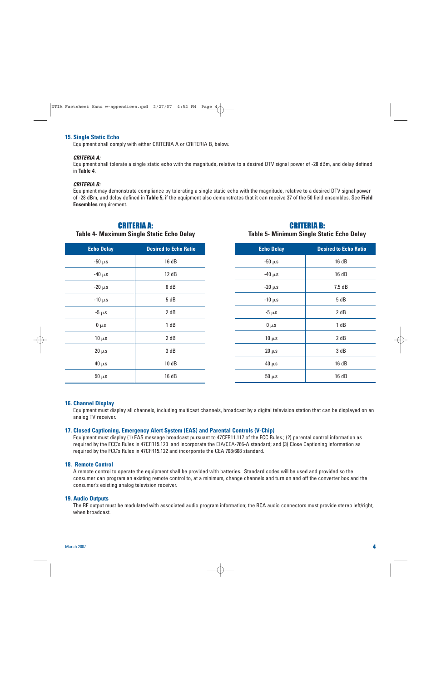#### **15. Single Static Echo**

Equipment shall comply with either CRITERIA A or CRITERIA B, below.

#### **CRITERIA A:**

Equipment shall tolerate a single static echo with the magnitude, relative to a desired DTV signal power of -28 dBm, and delay defined in **Table 4**.

#### **CRITERIA B:**

Equipment may demonstrate compliance by tolerating a single static echo with the magnitude, relative to a desired DTV signal power of -28 dBm, and delay defined in **Table 5**, if the equipment also demonstrates that it can receive 37 of the 50 field ensembles. See **Field Ensembles** requirement.

### CRITERIA A: CRITERIA B: **Table 4- Maximum Single Static Echo Delay Table 5- Minimum Single Static Echo Delay**

| RITERIA |  |  |  |  |  |  |
|---------|--|--|--|--|--|--|
|---------|--|--|--|--|--|--|

| Table 4- Maximum Single Static Echo Delay |                   | Taple 5- Millilliani Shigle Static Echo Delay |
|-------------------------------------------|-------------------|-----------------------------------------------|
| <b>Desired to Echo Ratio</b>              | <b>Echo Delay</b> | <b>Desired to Echo Ratio</b>                  |
| 16 dB                                     | $-50 \mu s$       | 16dB                                          |
| 12dB                                      | $-40 \mu s$       | 16dB                                          |
| 6 dB                                      | $-20 \mu s$       | 7.5dB                                         |
| 5 dB                                      | $-10 \mu s$       | 5 dB                                          |
| 2 dB                                      | $-5 \mu s$        | 2 dB                                          |
| 1 dB                                      | $0 \mu s$         | 1 dB                                          |
| 2 dB                                      | $10 \mu s$        | 2 dB                                          |
| 3 dB                                      | $20 \mu s$        | 3 dB                                          |
| 10dB                                      | $40 \mu s$        | 16dB                                          |
| 16 dB                                     | $50 \mu s$        | 16dB                                          |
|                                           |                   |                                               |

#### **16. Channel Display**

Equipment must display all channels, including multicast channels, broadcast by a digital television station that can be displayed on an analog TV receiver.

#### **17. Closed Captioning, Emergency Alert System (EAS) and Parental Controls (V-Chip)**

Equipment must display (1) EAS message broadcast pursuant to 47CFR11.117 of the FCC Rules.; (2) parental control information as required by the FCC's Rules in 47CFR15.120 and incorporate the EIA/CEA-766-A standard; and (3) Close Captioning information as required by the FCC's Rules in 47CFR15.122 and incorporate the CEA 708/608 standard.

#### **18. Remote Control**

A remote control to operate the equipment shall be provided with batteries. Standard codes will be used and provided so the consumer can program an existing remote control to, at a minimum, change channels and turn on and off the converter box and the consumer's existing analog television receiver.

#### **19. Audio Outputs**

The RF output must be modulated with associated audio program information; the RCA audio connectors must provide stereo left/right, when broadcast.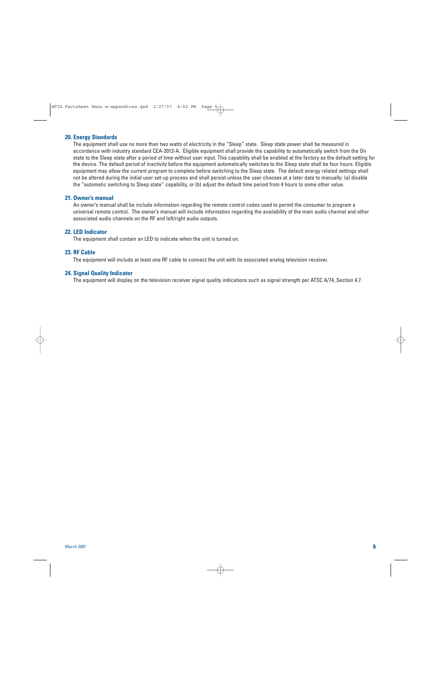#### **20. Energy Standards**

The equipment shall use no more than two watts of electricity in the "Sleep" state. Sleep state power shall be measured in accordance with industry standard CEA-2013-A. Eligible equipment shall provide the capability to automatically switch from the On state to the Sleep state after a period of time without user input. This capability shall be enabled at the factory as the default setting for the device. The default period of inactivity before the equipment automatically switches to the Sleep state shall be four hours. Eligible equipment may allow the current program to complete before switching to the Sleep state. The default energy related settings shall not be altered during the initial user set-up process and shall persist unless the user chooses at a later date to manually: (a) disable the "automatic switching to Sleep state" capability, or (b) adjust the default time period from 4 hours to some other value.

#### **21. Owner's manual**

An owner's manual shall be include information regarding the remote control codes used to permit the consumer to program a universal remote control. The owner's manual will include information regarding the availability of the main audio channel and other associated audio channels on the RF and left/right audio outputs.

#### **22. LED Indicator**

The equipment shall contain an LED to indicate when the unit is turned on.

#### **23. RF Cable**

The equipment will include at least one RF cable to connect the unit with its associated analog television receiver.

#### **24. Signal Quality Indicator**

The equipment will display on the television receiver signal quality indications such as signal strength per ATSC A/74, Section 4.7.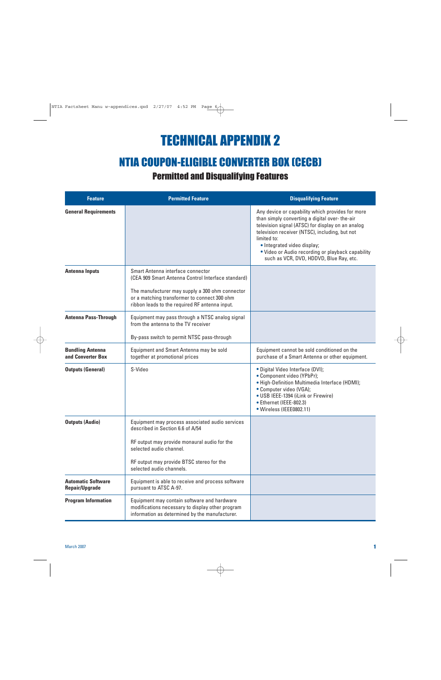# TECHNICAL APPENDIX 2

## NTIA COUPON-ELIGIBLE CONVERTER BOX (CECB)

## Permitted and Disqualifying Features

| <b>Feature</b>                                     | <b>Permitted Feature</b>                                                                                                                                                                                                                     | <b>Disqualifying Feature</b>                                                                                                                                                                                                                                                                                                                            |
|----------------------------------------------------|----------------------------------------------------------------------------------------------------------------------------------------------------------------------------------------------------------------------------------------------|---------------------------------------------------------------------------------------------------------------------------------------------------------------------------------------------------------------------------------------------------------------------------------------------------------------------------------------------------------|
| <b>General Requirements</b>                        |                                                                                                                                                                                                                                              | Any device or capability which provides for more<br>than simply converting a digital over- the-air<br>television signal (ATSC) for display on an analog<br>television receiver (NTSC), including, but not<br>limited to:<br>• Integrated video display;<br>. Video or Audio recording or playback capability<br>such as VCR, DVD, HDDVD, Blue Ray, etc. |
| <b>Antenna Inputs</b>                              | Smart Antenna interface connector<br>(CEA 909 Smart Antenna Control Interface standard)<br>The manufacturer may supply a 300 ohm connector<br>or a matching transformer to connect 300 ohm<br>ribbon leads to the required RF antenna input. |                                                                                                                                                                                                                                                                                                                                                         |
| <b>Antenna Pass-Through</b>                        | Equipment may pass through a NTSC analog signal<br>from the antenna to the TV receiver<br>By-pass switch to permit NTSC pass-through                                                                                                         |                                                                                                                                                                                                                                                                                                                                                         |
| <b>Bundling Antenna</b><br>and Converter Box       | Equipment and Smart Antenna may be sold<br>together at promotional prices                                                                                                                                                                    | Equipment cannot be sold conditioned on the<br>purchase of a Smart Antenna or other equipment.                                                                                                                                                                                                                                                          |
| <b>Outputs (General)</b>                           | S-Video                                                                                                                                                                                                                                      | · Digital Video Interface (DVI);<br>• Component video (YPbPr);<br>• High-Definition Multimedia Interface (HDMI);<br>• Computer video (VGA);<br>· USB IEEE-1394 (iLink or Firewire)<br>• Ethernet (IEEE-802.3)<br>· Wireless (IEEE0802.11)                                                                                                               |
| <b>Outputs (Audio)</b>                             | Equipment may process associated audio services<br>described in Section 6.6 of A/54<br>RF output may provide monaural audio for the<br>selected audio channel.<br>RF output may provide BTSC stereo for the<br>selected audio channels.      |                                                                                                                                                                                                                                                                                                                                                         |
| <b>Automatic Software</b><br><b>Repair/Upgrade</b> | Equipment is able to receive and process software<br>pursuant to ATSC A-97.                                                                                                                                                                  |                                                                                                                                                                                                                                                                                                                                                         |
| <b>Program Information</b>                         | Equipment may contain software and hardware<br>modifications necessary to display other program<br>information as determined by the manufacturer.                                                                                            |                                                                                                                                                                                                                                                                                                                                                         |